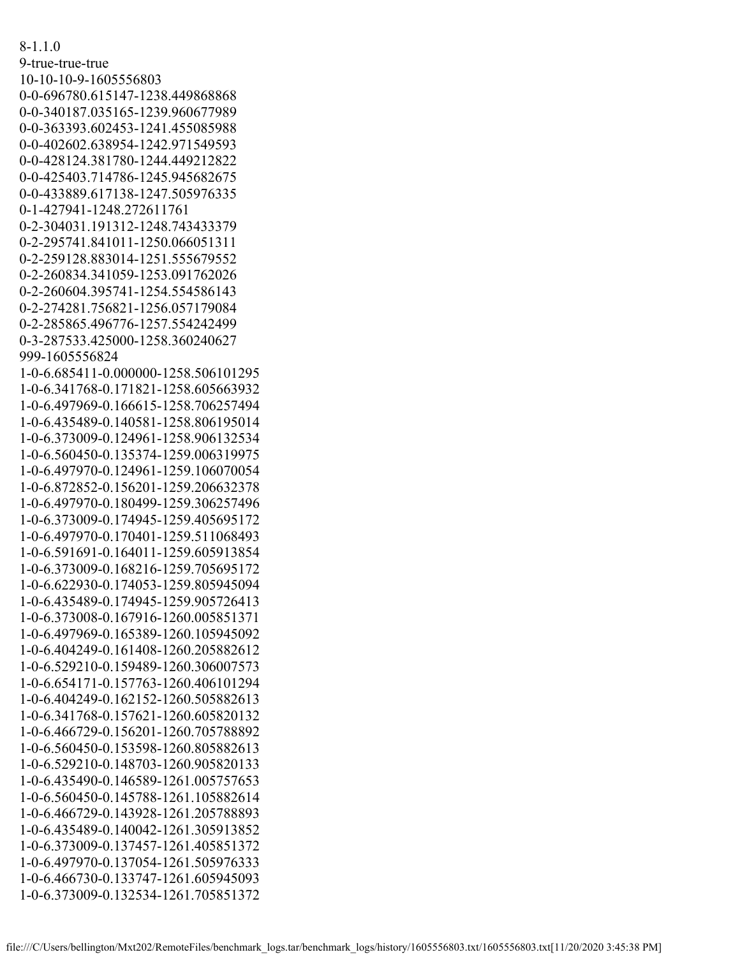8-1.1.0 9-true-true-true 10-10-10-9-1605556803 0-0-696780.615147-1238.449868868 0-0-340187.035165-1239.960677989 0-0-363393.602453-1241.455085988 0-0-402602.638954-1242.971549593 0-0-428124.381780-1244.449212822 0-0-425403.714786-1245.945682675 0-0-433889.617138-1247.505976335 0-1-427941-1248.272611761 0-2-304031.191312-1248.743433379 0-2-295741.841011-1250.066051311 0-2-259128.883014-1251.555679552 0-2-260834.341059-1253.091762026 0-2-260604.395741-1254.554586143 0-2-274281.756821-1256.057179084 0-2-285865.496776-1257.554242499 0-3-287533.425000-1258.360240627 999-1605556824 1-0-6.685411-0.000000-1258.506101295 1-0-6.341768-0.171821-1258.605663932 1-0-6.497969-0.166615-1258.706257494 1-0-6.435489-0.140581-1258.806195014 1-0-6.373009-0.124961-1258.906132534 1-0-6.560450-0.135374-1259.006319975 1-0-6.497970-0.124961-1259.106070054 1-0-6.872852-0.156201-1259.206632378 1-0-6.497970-0.180499-1259.306257496 1-0-6.373009-0.174945-1259.405695172 1-0-6.497970-0.170401-1259.511068493 1-0-6.591691-0.164011-1259.605913854 1-0-6.373009-0.168216-1259.705695172 1-0-6.622930-0.174053-1259.805945094 1-0-6.435489-0.174945-1259.905726413 1-0-6.373008-0.167916-1260.005851371 1-0-6.497969-0.165389-1260.105945092 1-0-6.404249-0.161408-1260.205882612 1-0-6.529210-0.159489-1260.306007573 1-0-6.654171-0.157763-1260.406101294 1-0-6.404249-0.162152-1260.505882613 1-0-6.341768-0.157621-1260.605820132 1-0-6.466729-0.156201-1260.705788892 1-0-6.560450-0.153598-1260.805882613 1-0-6.529210-0.148703-1260.905820133 1-0-6.435490-0.146589-1261.005757653 1-0-6.560450-0.145788-1261.105882614 1-0-6.466729-0.143928-1261.205788893 1-0-6.435489-0.140042-1261.305913852 1-0-6.373009-0.137457-1261.405851372 1-0-6.497970-0.137054-1261.505976333 1-0-6.466730-0.133747-1261.605945093 1-0-6.373009-0.132534-1261.705851372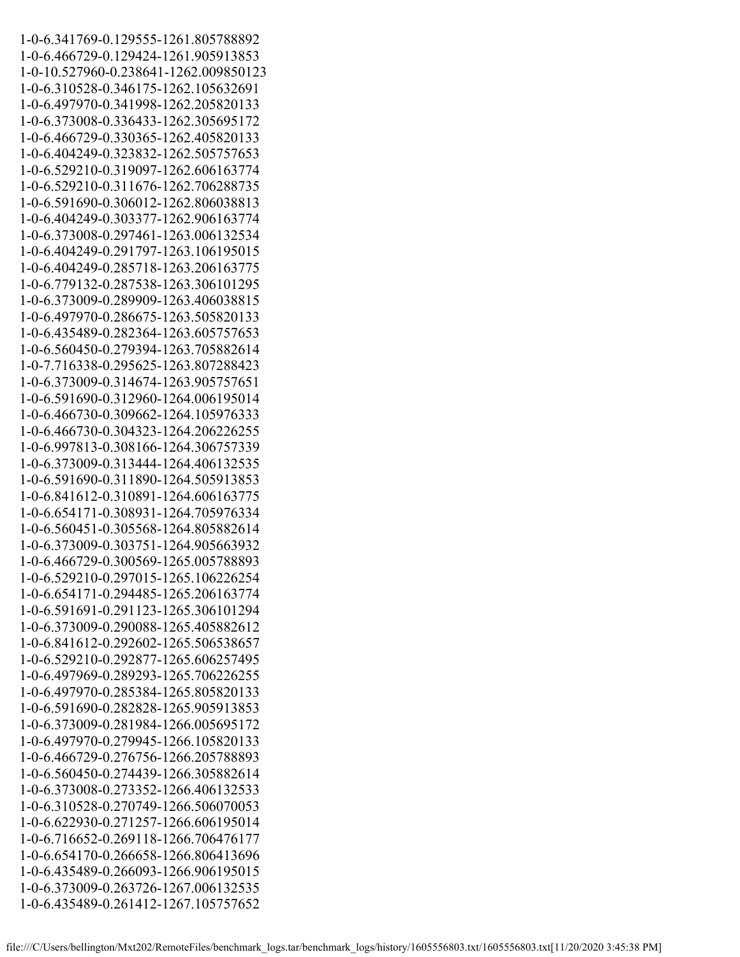1-0-6.341769-0.129555-1261.805788892 1-0-6.466729-0.129424-1261.905913853 1-0-10.527960-0.238641-1262.009850123 1-0-6.310528-0.346175-1262.105632691 1-0-6.497970-0.341998-1262.205820133 1-0-6.373008-0.336433-1262.305695172 1-0-6.466729-0.330365-1262.405820133 1-0-6.404249-0.323832-1262.505757653 1-0-6.529210-0.319097-1262.606163774 1-0-6.529210-0.311676-1262.706288735 1-0-6.591690-0.306012-1262.806038813 1-0-6.404249-0.303377-1262.906163774 1-0-6.373008-0.297461-1263.006132534 1-0-6.404249-0.291797-1263.106195015 1-0-6.404249-0.285718-1263.206163775 1-0-6.779132-0.287538-1263.306101295 1-0-6.373009-0.289909-1263.406038815 1-0-6.497970-0.286675-1263.505820133 1-0-6.435489-0.282364-1263.605757653 1-0-6.560450-0.279394-1263.705882614 1-0-7.716338-0.295625-1263.807288423 1-0-6.373009-0.314674-1263.905757651 1-0-6.591690-0.312960-1264.006195014 1-0-6.466730-0.309662-1264.105976333 1-0-6.466730-0.304323-1264.206226255 1-0-6.997813-0.308166-1264.306757339 1-0-6.373009-0.313444-1264.406132535 1-0-6.591690-0.311890-1264.505913853 1-0-6.841612-0.310891-1264.606163775 1-0-6.654171-0.308931-1264.705976334 1-0-6.560451-0.305568-1264.805882614 1-0-6.373009-0.303751-1264.905663932 1-0-6.466729-0.300569-1265.005788893 1-0-6.529210-0.297015-1265.106226254 1-0-6.654171-0.294485-1265.206163774 1-0-6.591691-0.291123-1265.306101294 1-0-6.373009-0.290088-1265.405882612 1-0-6.841612-0.292602-1265.506538657 1-0-6.529210-0.292877-1265.606257495 1-0-6.497969-0.289293-1265.706226255 1-0-6.497970-0.285384-1265.805820133 1-0-6.591690-0.282828-1265.905913853 1-0-6.373009-0.281984-1266.005695172 1-0-6.497970-0.279945-1266.105820133 1-0-6.466729-0.276756-1266.205788893 1-0-6.560450-0.274439-1266.305882614 1-0-6.373008-0.273352-1266.406132533 1-0-6.310528-0.270749-1266.506070053 1-0-6.622930-0.271257-1266.606195014 1-0-6.716652-0.269118-1266.706476177 1-0-6.654170-0.266658-1266.806413696 1-0-6.435489-0.266093-1266.906195015 1-0-6.373009-0.263726-1267.006132535 1-0-6.435489-0.261412-1267.105757652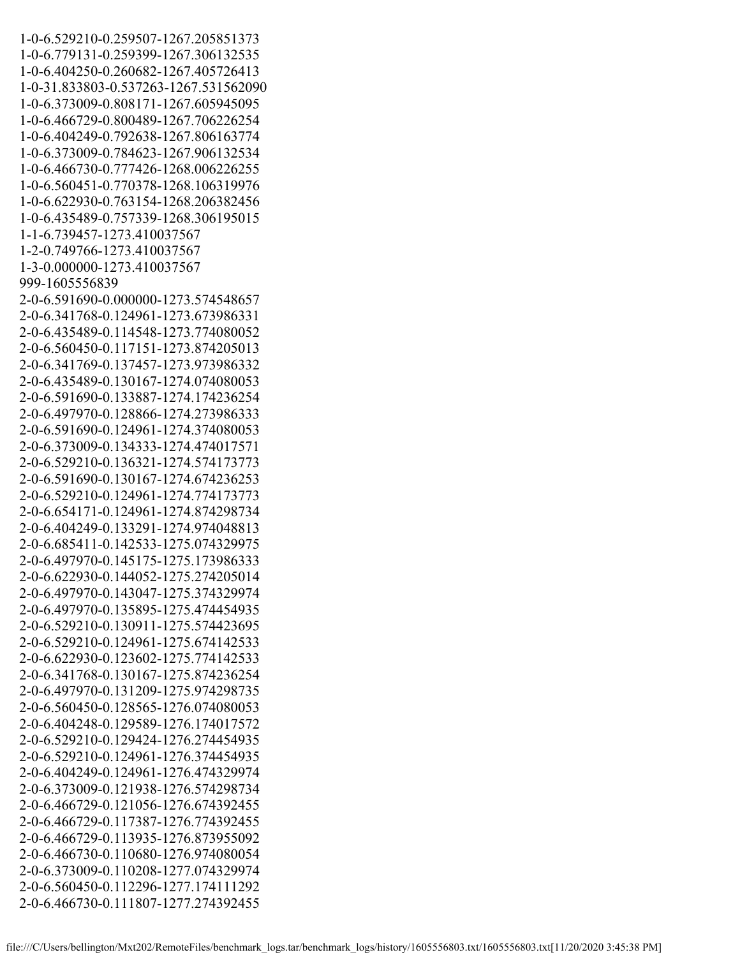1-0-6.529210-0.259507-1267.205851373 1-0-6.779131-0.259399-1267.306132535 1-0-6.404250-0.260682-1267.405726413 1-0-31.833803-0.537263-1267.531562090 1-0-6.373009-0.808171-1267.605945095 1-0-6.466729-0.800489-1267.706226254 1-0-6.404249-0.792638-1267.806163774 1-0-6.373009-0.784623-1267.906132534 1-0-6.466730-0.777426-1268.006226255 1-0-6.560451-0.770378-1268.106319976 1-0-6.622930-0.763154-1268.206382456 1-0-6.435489-0.757339-1268.306195015 1-1-6.739457-1273.410037567 1-2-0.749766-1273.410037567 1-3-0.000000-1273.410037567 999-1605556839 2-0-6.591690-0.000000-1273.574548657 2-0-6.341768-0.124961-1273.673986331 2-0-6.435489-0.114548-1273.774080052 2-0-6.560450-0.117151-1273.874205013 2-0-6.341769-0.137457-1273.973986332 2-0-6.435489-0.130167-1274.074080053 2-0-6.591690-0.133887-1274.174236254 2-0-6.497970-0.128866-1274.273986333 2-0-6.591690-0.124961-1274.374080053 2-0-6.373009-0.134333-1274.474017571 2-0-6.529210-0.136321-1274.574173773 2-0-6.591690-0.130167-1274.674236253 2-0-6.529210-0.124961-1274.774173773 2-0-6.654171-0.124961-1274.874298734 2-0-6.404249-0.133291-1274.974048813 2-0-6.685411-0.142533-1275.074329975 2-0-6.497970-0.145175-1275.173986333 2-0-6.622930-0.144052-1275.274205014 2-0-6.497970-0.143047-1275.374329974 2-0-6.497970-0.135895-1275.474454935 2-0-6.529210-0.130911-1275.574423695 2-0-6.529210-0.124961-1275.674142533 2-0-6.622930-0.123602-1275.774142533 2-0-6.341768-0.130167-1275.874236254 2-0-6.497970-0.131209-1275.974298735 2-0-6.560450-0.128565-1276.074080053 2-0-6.404248-0.129589-1276.174017572 2-0-6.529210-0.129424-1276.274454935 2-0-6.529210-0.124961-1276.374454935 2-0-6.404249-0.124961-1276.474329974 2-0-6.373009-0.121938-1276.574298734 2-0-6.466729-0.121056-1276.674392455 2-0-6.466729-0.117387-1276.774392455 2-0-6.466729-0.113935-1276.873955092 2-0-6.466730-0.110680-1276.974080054 2-0-6.373009-0.110208-1277.074329974 2-0-6.560450-0.112296-1277.174111292 2-0-6.466730-0.111807-1277.274392455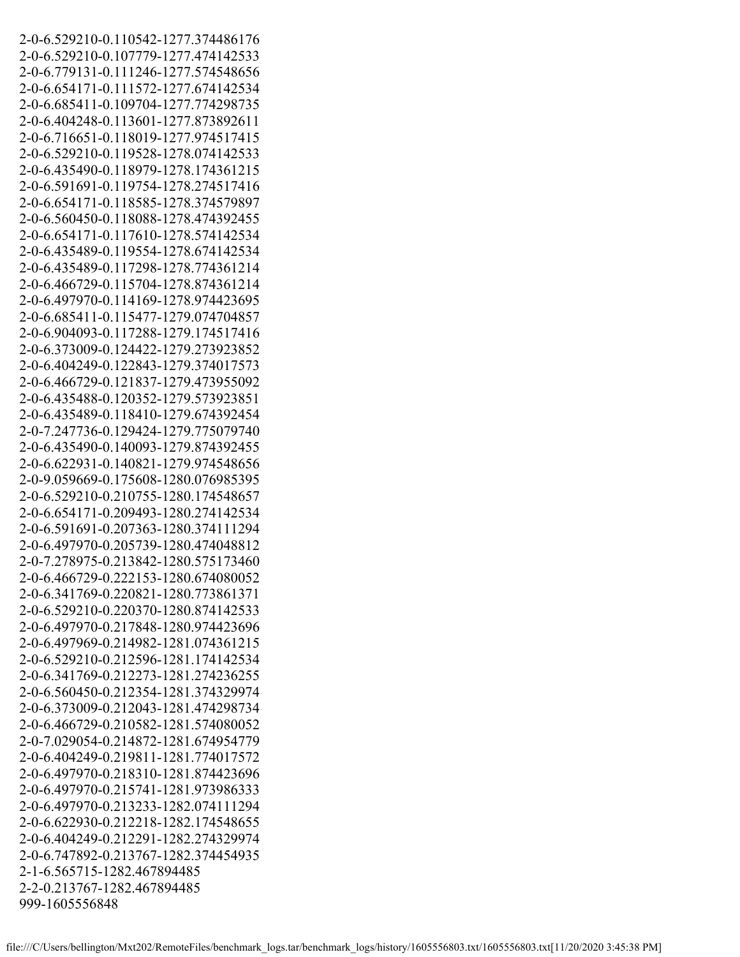2-0-6.529210-0.110542-1277.374486176 2-0-6.529210-0.107779-1277.474142533 2-0-6.779131-0.111246-1277.574548656 2-0-6.654171-0.111572-1277.674142534 2-0-6.685411-0.109704-1277.774298735 2-0-6.404248-0.113601-1277.873892611 2-0-6.716651-0.118019-1277.974517415 2-0-6.529210-0.119528-1278.074142533 2-0-6.435490-0.118979-1278.174361215 2-0-6.591691-0.119754-1278.274517416 2-0-6.654171-0.118585-1278.374579897 2-0-6.560450-0.118088-1278.474392455 2-0-6.654171-0.117610-1278.574142534 2-0-6.435489-0.119554-1278.674142534 2-0-6.435489-0.117298-1278.774361214 2-0-6.466729-0.115704-1278.874361214 2-0-6.497970-0.114169-1278.974423695 2-0-6.685411-0.115477-1279.074704857 2-0-6.904093-0.117288-1279.174517416 2-0-6.373009-0.124422-1279.273923852 2-0-6.404249-0.122843-1279.374017573 2-0-6.466729-0.121837-1279.473955092 2-0-6.435488-0.120352-1279.573923851 2-0-6.435489-0.118410-1279.674392454 2-0-7.247736-0.129424-1279.775079740 2-0-6.435490-0.140093-1279.874392455 2-0-6.622931-0.140821-1279.974548656 2-0-9.059669-0.175608-1280.076985395 2-0-6.529210-0.210755-1280.174548657 2-0-6.654171-0.209493-1280.274142534 2-0-6.591691-0.207363-1280.374111294 2-0-6.497970-0.205739-1280.474048812 2-0-7.278975-0.213842-1280.575173460 2-0-6.466729-0.222153-1280.674080052 2-0-6.341769-0.220821-1280.773861371 2-0-6.529210-0.220370-1280.874142533 2-0-6.497970-0.217848-1280.974423696 2-0-6.497969-0.214982-1281.074361215 2-0-6.529210-0.212596-1281.174142534 2-0-6.341769-0.212273-1281.274236255 2-0-6.560450-0.212354-1281.374329974 2-0-6.373009-0.212043-1281.474298734 2-0-6.466729-0.210582-1281.574080052 2-0-7.029054-0.214872-1281.674954779 2-0-6.404249-0.219811-1281.774017572 2-0-6.497970-0.218310-1281.874423696 2-0-6.497970-0.215741-1281.973986333 2-0-6.497970-0.213233-1282.074111294 2-0-6.622930-0.212218-1282.174548655 2-0-6.404249-0.212291-1282.274329974 2-0-6.747892-0.213767-1282.374454935 2-1-6.565715-1282.467894485 2-2-0.213767-1282.467894485 999-1605556848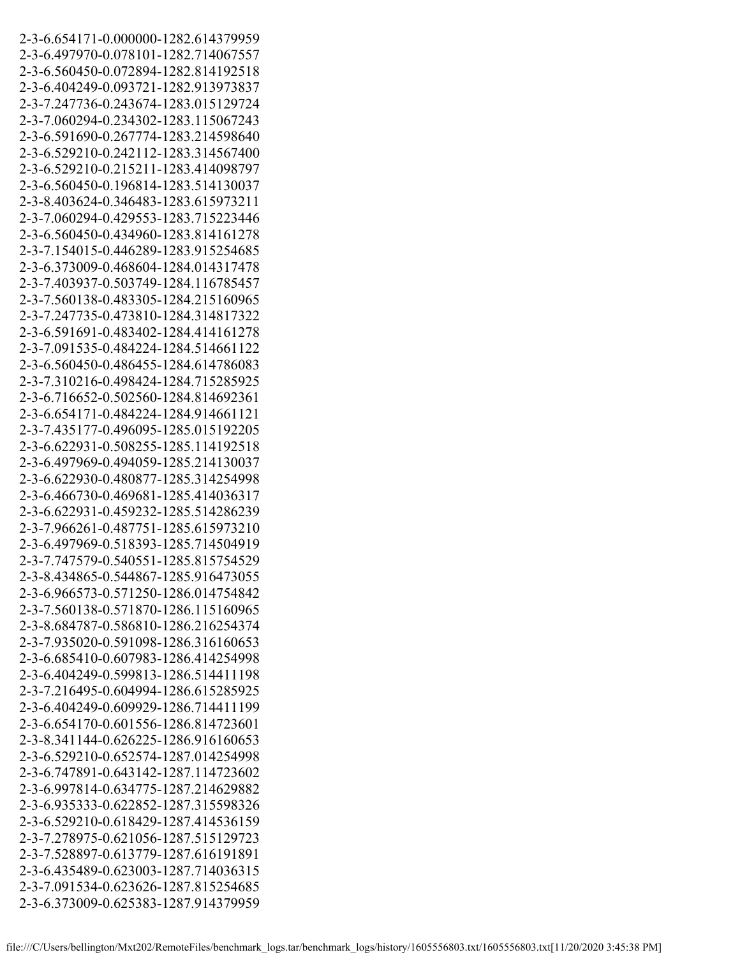2-3-6.654171-0.000000-1282.614379959 2-3-6.497970-0.078101-1282.714067557 2-3-6.560450-0.072894-1282.814192518 2-3-6.404249-0.093721-1282.913973837 2-3-7.247736-0.243674-1283.015129724 2-3-7.060294-0.234302-1283.115067243 2-3-6.591690-0.267774-1283.214598640 2-3-6.529210-0.242112-1283.314567400 2-3-6.529210-0.215211-1283.414098797 2-3-6.560450-0.196814-1283.514130037 2-3-8.403624-0.346483-1283.615973211 2-3-7.060294-0.429553-1283.715223446 2-3-6.560450-0.434960-1283.814161278 2-3-7.154015-0.446289-1283.915254685 2-3-6.373009-0.468604-1284.014317478 2-3-7.403937-0.503749-1284.116785457 2-3-7.560138-0.483305-1284.215160965 2-3-7.247735-0.473810-1284.314817322 2-3-6.591691-0.483402-1284.414161278 2-3-7.091535-0.484224-1284.514661122 2-3-6.560450-0.486455-1284.614786083 2-3-7.310216-0.498424-1284.715285925 2-3-6.716652-0.502560-1284.814692361 2-3-6.654171-0.484224-1284.914661121 2-3-7.435177-0.496095-1285.015192205 2-3-6.622931-0.508255-1285.114192518 2-3-6.497969-0.494059-1285.214130037 2-3-6.622930-0.480877-1285.314254998 2-3-6.466730-0.469681-1285.414036317 2-3-6.622931-0.459232-1285.514286239 2-3-7.966261-0.487751-1285.615973210 2-3-6.497969-0.518393-1285.714504919 2-3-7.747579-0.540551-1285.815754529 2-3-8.434865-0.544867-1285.916473055 2-3-6.966573-0.571250-1286.014754842 2-3-7.560138-0.571870-1286.115160965 2-3-8.684787-0.586810-1286.216254374 2-3-7.935020-0.591098-1286.316160653 2-3-6.685410-0.607983-1286.414254998 2-3-6.404249-0.599813-1286.514411198 2-3-7.216495-0.604994-1286.615285925 2-3-6.404249-0.609929-1286.714411199 2-3-6.654170-0.601556-1286.814723601 2-3-8.341144-0.626225-1286.916160653 2-3-6.529210-0.652574-1287.014254998 2-3-6.747891-0.643142-1287.114723602 2-3-6.997814-0.634775-1287.214629882 2-3-6.935333-0.622852-1287.315598326 2-3-6.529210-0.618429-1287.414536159 2-3-7.278975-0.621056-1287.515129723 2-3-7.528897-0.613779-1287.616191891 2-3-6.435489-0.623003-1287.714036315 2-3-7.091534-0.623626-1287.815254685 2-3-6.373009-0.625383-1287.914379959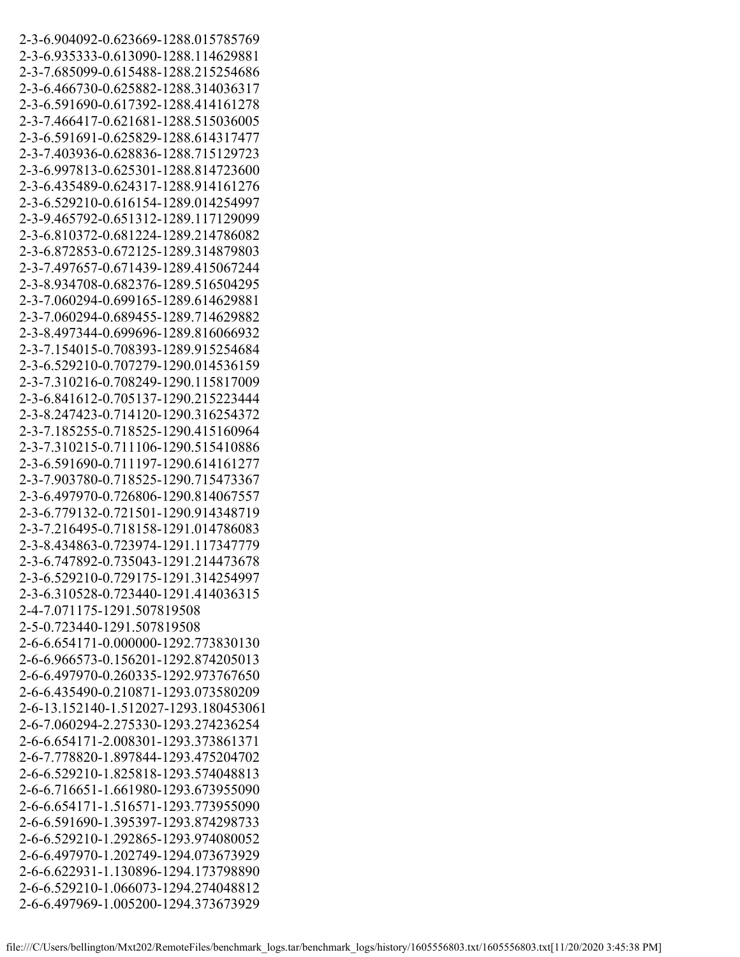2-3-6.904092-0.623669-1288.015785769 2-3-6.935333-0.613090-1288.114629881 2-3-7.685099-0.615488-1288.215254686 2-3-6.466730-0.625882-1288.314036317 2-3-6.591690-0.617392-1288.414161278 2-3-7.466417-0.621681-1288.515036005 2-3-6.591691-0.625829-1288.614317477 2-3-7.403936-0.628836-1288.715129723 2-3-6.997813-0.625301-1288.814723600 2-3-6.435489-0.624317-1288.914161276 2-3-6.529210-0.616154-1289.014254997 2-3-9.465792-0.651312-1289.117129099 2-3-6.810372-0.681224-1289.214786082 2-3-6.872853-0.672125-1289.314879803 2-3-7.497657-0.671439-1289.415067244 2-3-8.934708-0.682376-1289.516504295 2-3-7.060294-0.699165-1289.614629881 2-3-7.060294-0.689455-1289.714629882 2-3-8.497344-0.699696-1289.816066932 2-3-7.154015-0.708393-1289.915254684 2-3-6.529210-0.707279-1290.014536159 2-3-7.310216-0.708249-1290.115817009 2-3-6.841612-0.705137-1290.215223444 2-3-8.247423-0.714120-1290.316254372 2-3-7.185255-0.718525-1290.415160964 2-3-7.310215-0.711106-1290.515410886 2-3-6.591690-0.711197-1290.614161277 2-3-7.903780-0.718525-1290.715473367 2-3-6.497970-0.726806-1290.814067557 2-3-6.779132-0.721501-1290.914348719 2-3-7.216495-0.718158-1291.014786083 2-3-8.434863-0.723974-1291.117347779 2-3-6.747892-0.735043-1291.214473678 2-3-6.529210-0.729175-1291.314254997 2-3-6.310528-0.723440-1291.414036315 2-4-7.071175-1291.507819508 2-5-0.723440-1291.507819508 2-6-6.654171-0.000000-1292.773830130 2-6-6.966573-0.156201-1292.874205013 2-6-6.497970-0.260335-1292.973767650 2-6-6.435490-0.210871-1293.073580209 2-6-13.152140-1.512027-1293.180453061 2-6-7.060294-2.275330-1293.274236254 2-6-6.654171-2.008301-1293.373861371 2-6-7.778820-1.897844-1293.475204702 2-6-6.529210-1.825818-1293.574048813 2-6-6.716651-1.661980-1293.673955090 2-6-6.654171-1.516571-1293.773955090 2-6-6.591690-1.395397-1293.874298733 2-6-6.529210-1.292865-1293.974080052 2-6-6.497970-1.202749-1294.073673929 2-6-6.622931-1.130896-1294.173798890 2-6-6.529210-1.066073-1294.274048812 2-6-6.497969-1.005200-1294.373673929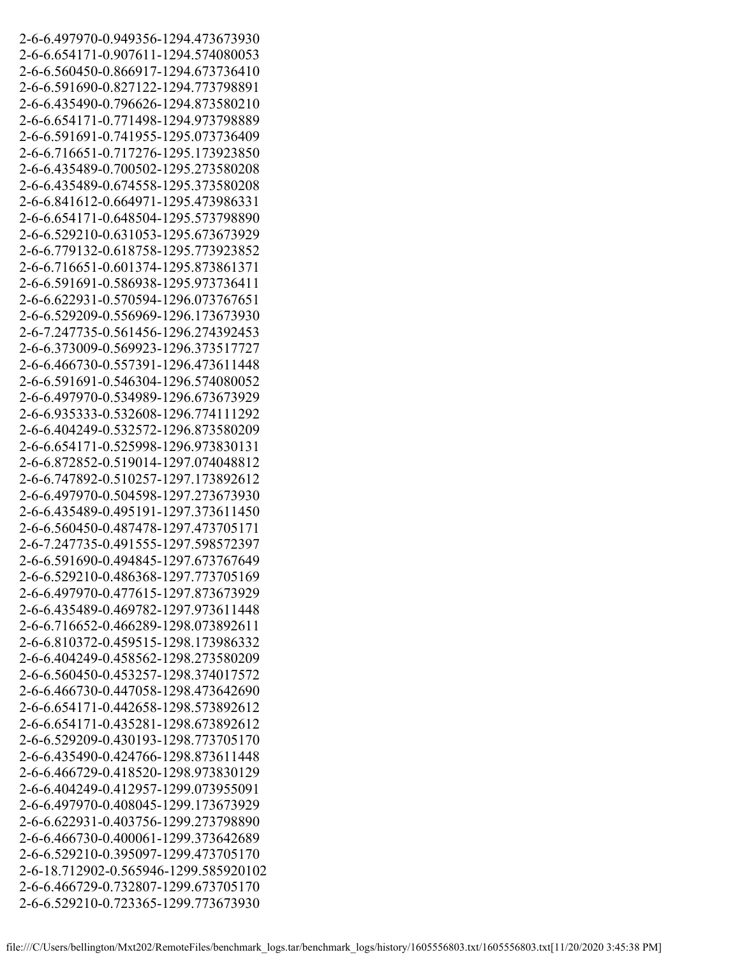2-6-6.497970-0.949356-1294.473673930 2-6-6.654171-0.907611-1294.574080053 2-6-6.560450-0.866917-1294.673736410 2-6-6.591690-0.827122-1294.773798891 2-6-6.435490-0.796626-1294.873580210 2-6-6.654171-0.771498-1294.973798889 2-6-6.591691-0.741955-1295.073736409 2-6-6.716651-0.717276-1295.173923850 2-6-6.435489-0.700502-1295.273580208 2-6-6.435489-0.674558-1295.373580208 2-6-6.841612-0.664971-1295.473986331 2-6-6.654171-0.648504-1295.573798890 2-6-6.529210-0.631053-1295.673673929 2-6-6.779132-0.618758-1295.773923852 2-6-6.716651-0.601374-1295.873861371 2-6-6.591691-0.586938-1295.973736411 2-6-6.622931-0.570594-1296.073767651 2-6-6.529209-0.556969-1296.173673930 2-6-7.247735-0.561456-1296.274392453 2-6-6.373009-0.569923-1296.373517727 2-6-6.466730-0.557391-1296.473611448 2-6-6.591691-0.546304-1296.574080052 2-6-6.497970-0.534989-1296.673673929 2-6-6.935333-0.532608-1296.774111292 2-6-6.404249-0.532572-1296.873580209 2-6-6.654171-0.525998-1296.973830131 2-6-6.872852-0.519014-1297.074048812 2-6-6.747892-0.510257-1297.173892612 2-6-6.497970-0.504598-1297.273673930 2-6-6.435489-0.495191-1297.373611450 2-6-6.560450-0.487478-1297.473705171 2-6-7.247735-0.491555-1297.598572397 2-6-6.591690-0.494845-1297.673767649 2-6-6.529210-0.486368-1297.773705169 2-6-6.497970-0.477615-1297.873673929 2-6-6.435489-0.469782-1297.973611448 2-6-6.716652-0.466289-1298.073892611 2-6-6.810372-0.459515-1298.173986332 2-6-6.404249-0.458562-1298.273580209 2-6-6.560450-0.453257-1298.374017572 2-6-6.466730-0.447058-1298.473642690 2-6-6.654171-0.442658-1298.573892612 2-6-6.654171-0.435281-1298.673892612 2-6-6.529209-0.430193-1298.773705170 2-6-6.435490-0.424766-1298.873611448 2-6-6.466729-0.418520-1298.973830129 2-6-6.404249-0.412957-1299.073955091 2-6-6.497970-0.408045-1299.173673929 2-6-6.622931-0.403756-1299.273798890 2-6-6.466730-0.400061-1299.373642689 2-6-6.529210-0.395097-1299.473705170 2-6-18.712902-0.565946-1299.585920102 2-6-6.466729-0.732807-1299.673705170 2-6-6.529210-0.723365-1299.773673930